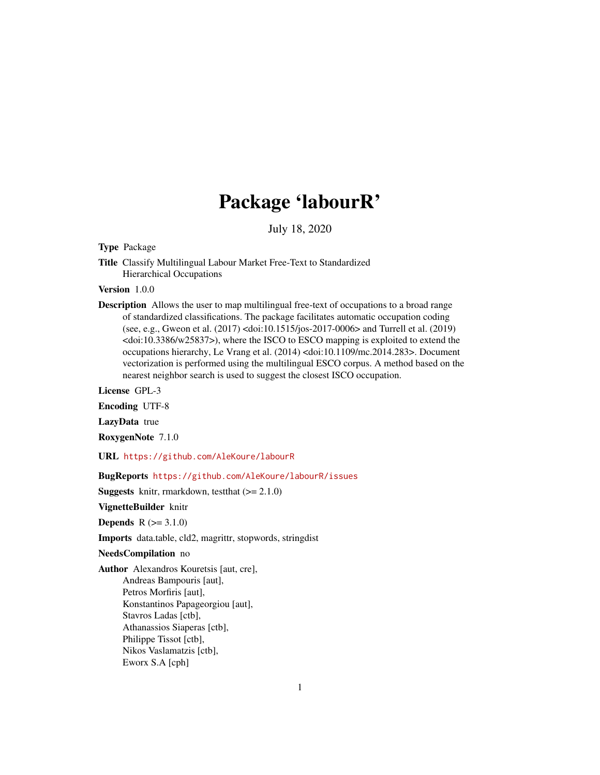## Package 'labourR'

July 18, 2020

<span id="page-0-0"></span>Type Package

Title Classify Multilingual Labour Market Free-Text to Standardized Hierarchical Occupations

Version 1.0.0

Description Allows the user to map multilingual free-text of occupations to a broad range of standardized classifications. The package facilitates automatic occupation coding (see, e.g., Gweon et al. (2017) <doi:10.1515/jos-2017-0006> and Turrell et al. (2019)  $\langle \text{doi:10.3386/w25837}\rangle$ , where the ISCO to ESCO mapping is exploited to extend the occupations hierarchy, Le Vrang et al. (2014) <doi:10.1109/mc.2014.283>. Document vectorization is performed using the multilingual ESCO corpus. A method based on the nearest neighbor search is used to suggest the closest ISCO occupation.

License GPL-3

Encoding UTF-8

LazyData true

RoxygenNote 7.1.0

URL <https://github.com/AleKoure/labourR>

BugReports <https://github.com/AleKoure/labourR/issues>

**Suggests** knitr, rmarkdown, test that  $(>= 2.1.0)$ 

VignetteBuilder knitr

**Depends**  $R (= 3.1.0)$ 

Imports data.table, cld2, magrittr, stopwords, stringdist

NeedsCompilation no

Author Alexandros Kouretsis [aut, cre], Andreas Bampouris [aut], Petros Morfiris [aut], Konstantinos Papageorgiou [aut], Stavros Ladas [ctb], Athanassios Siaperas [ctb], Philippe Tissot [ctb], Nikos Vaslamatzis [ctb], Eworx S.A [cph]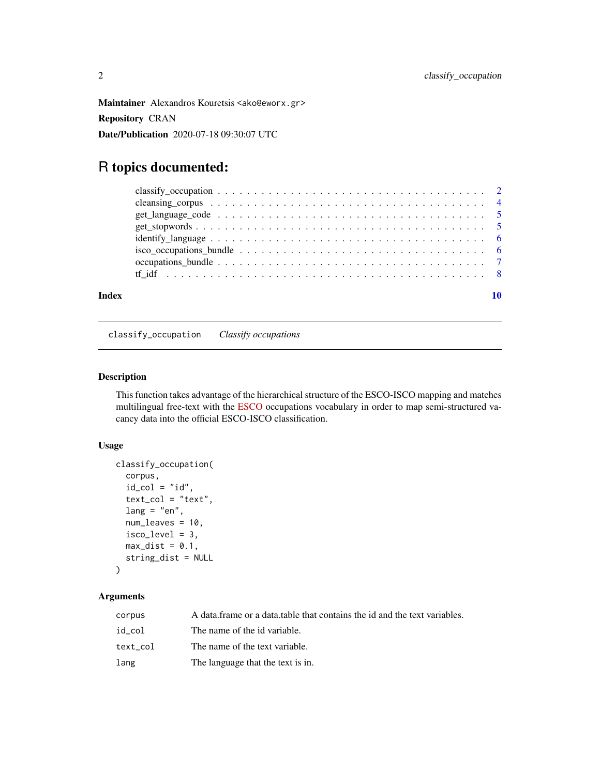<span id="page-1-0"></span>Maintainer Alexandros Kouretsis <ako@eworx.gr> Repository CRAN Date/Publication 2020-07-18 09:30:07 UTC

### R topics documented:

classify\_occupation *Classify occupations*

#### Description

This function takes advantage of the hierarchical structure of the ESCO-ISCO mapping and matches multilingual free-text with the [ESCO](https://ec.europa.eu/esco/portal/home) occupations vocabulary in order to map semi-structured vacancy data into the official ESCO-ISCO classification.

#### Usage

```
classify_occupation(
  corpus,
  id\_col = "id",text_col = "text",lang = "en",num_leaves = 10,
  isco\_level = 3,max\_dist = 0.1,
  string_dist = NULL
)
```
#### Arguments

| corpus   | A data frame or a data table that contains the id and the text variables. |
|----------|---------------------------------------------------------------------------|
| id col   | The name of the id variable.                                              |
| text col | The name of the text variable.                                            |
| lang     | The language that the text is in.                                         |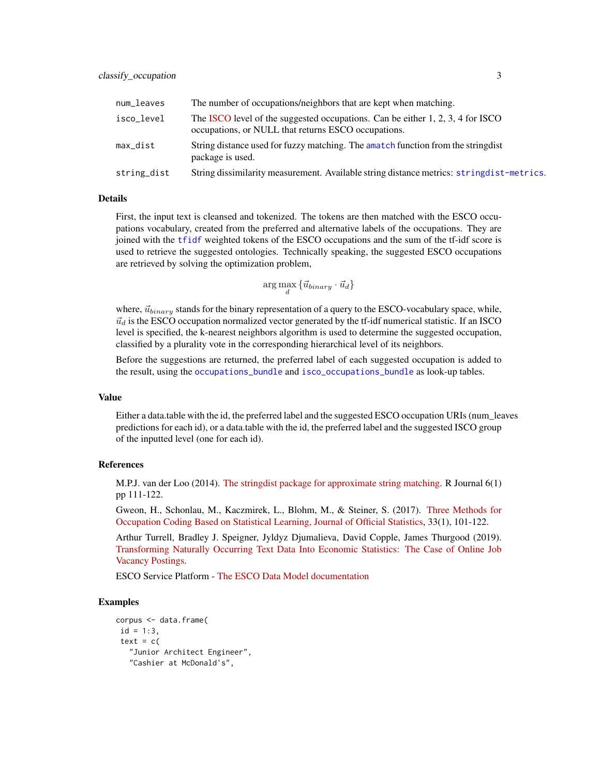<span id="page-2-0"></span>

| num_leaves  | The number of occupations/neighbors that are kept when matching.                                                                      |
|-------------|---------------------------------------------------------------------------------------------------------------------------------------|
| isco_level  | The ISCO level of the suggested occupations. Can be either 1, 2, 3, 4 for ISCO<br>occupations, or NULL that returns ESCO occupations. |
| max_dist    | String distance used for fuzzy matching. The amatch function from the string dist<br>package is used.                                 |
| string_dist | String dissimilarity measurement. Available string distance metrics: stringdist-metrics.                                              |

#### Details

First, the input text is cleansed and tokenized. The tokens are then matched with the ESCO occupations vocabulary, created from the preferred and alternative labels of the occupations. They are joined with the [tfidf](#page-7-1) weighted tokens of the ESCO occupations and the sum of the tf-idf score is used to retrieve the suggested ontologies. Technically speaking, the suggested ESCO occupations are retrieved by solving the optimization problem,

 $\arg\max_d \left\{ \vec{u}_{binary} \cdot \vec{u}_d \right\}$ 

where,  $\vec{u}_{binary}$  stands for the binary representation of a query to the ESCO-vocabulary space, while,  $\vec{u}_d$  is the ESCO occupation normalized vector generated by the tf-idf numerical statistic. If an ISCO level is specified, the k-nearest neighbors algorithm is used to determine the suggested occupation, classified by a plurality vote in the corresponding hierarchical level of its neighbors.

Before the suggestions are returned, the preferred label of each suggested occupation is added to the result, using the [occupations\\_bundle](#page-6-1) and [isco\\_occupations\\_bundle](#page-5-1) as look-up tables.

#### Value

Either a data.table with the id, the preferred label and the suggested ESCO occupation URIs (num\_leaves predictions for each id), or a data.table with the id, the preferred label and the suggested ISCO group of the inputted level (one for each id).

#### References

M.P.J. van der Loo (2014). [The stringdist package for approximate string matching.](https://journal.r-project.org/archive/2014-1/loo.pdf) R Journal 6(1) pp 111-122.

Gweon, H., Schonlau, M., Kaczmirek, L., Blohm, M., & Steiner, S. (2017). [Three Methods for](https://doi.org/10.1515/jos-2017-0006) [Occupation Coding Based on Statistical Learning, Journal of Official Statistics,](https://doi.org/10.1515/jos-2017-0006) 33(1), 101-122.

Arthur Turrell, Bradley J. Speigner, Jyldyz Djumalieva, David Copple, James Thurgood (2019). [Transforming Naturally Occurring Text Data Into Economic Statistics: The Case of Online Job](https://www.nber.org/papers/w25837) [Vacancy Postings.](https://www.nber.org/papers/w25837)

ESCO Service Platform - [The ESCO Data Model documentation](https://ec.europa.eu/esco/portal/document/en/87a9f66a-1830-4c93-94f0-5daa5e00507e)

#### Examples

```
corpus <- data.frame(
 id = 1:3,
 text = c("Junior Architect Engineer",
   "Cashier at McDonald's",
```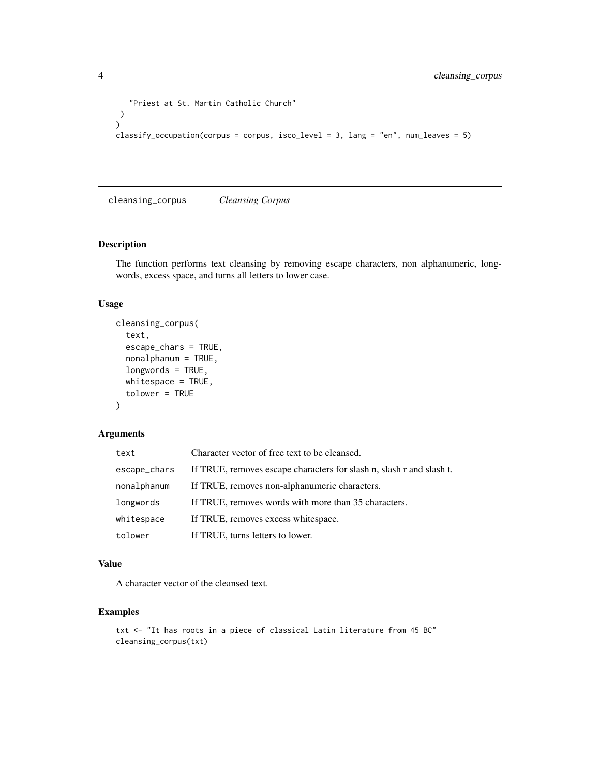```
"Priest at St. Martin Catholic Church"
)
)
classify_occupation(corpus = corpus, isco_level = 3, lang = "en", num_leaves = 5)
```
cleansing\_corpus *Cleansing Corpus*

#### Description

The function performs text cleansing by removing escape characters, non alphanumeric, longwords, excess space, and turns all letters to lower case.

#### Usage

```
cleansing_corpus(
  text,
  escape_chars = TRUE,
  nonalphanum = TRUE,
  longwords = TRUE,
  whitespace = TRUE,
  tolower = TRUE
\lambda
```
#### Arguments

| text         | Character vector of free text to be cleansed.                        |
|--------------|----------------------------------------------------------------------|
| escape_chars | If TRUE, removes escape characters for slash n, slash r and slash t. |
| nonalphanum  | If TRUE, removes non-alphanumeric characters.                        |
| longwords    | If TRUE, removes words with more than 35 characters.                 |
| whitespace   | If TRUE, removes excess white space.                                 |
| tolower      | If TRUE, turns letters to lower.                                     |

#### Value

A character vector of the cleansed text.

#### Examples

```
txt <- "It has roots in a piece of classical Latin literature from 45 BC"
cleansing_corpus(txt)
```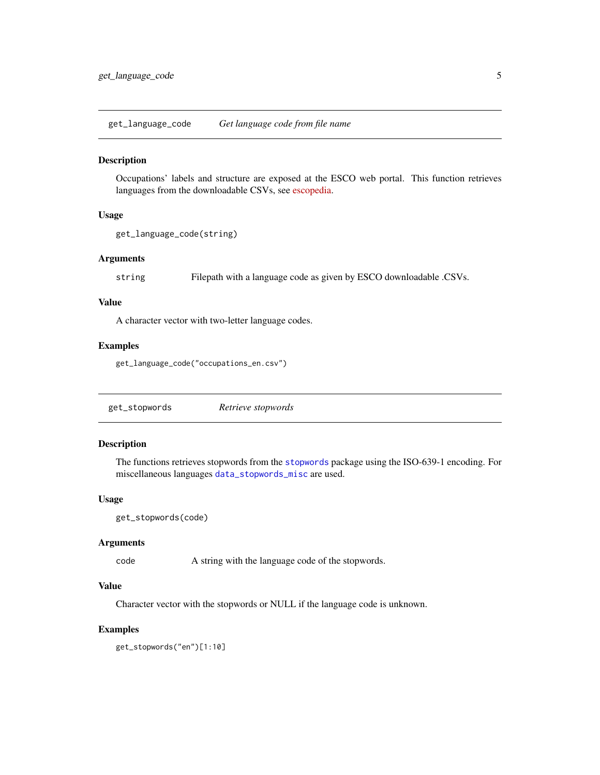<span id="page-4-0"></span>get\_language\_code *Get language code from file name*

#### Description

Occupations' labels and structure are exposed at the ESCO web portal. This function retrieves languages from the downloadable CSVs, see [escopedia.](https://ec.europa.eu/esco/portal/escopedia/ESCO_languages)

#### Usage

```
get_language_code(string)
```
#### Arguments

string Filepath with a language code as given by ESCO downloadable .CSVs.

#### Value

A character vector with two-letter language codes.

#### Examples

get\_language\_code("occupations\_en.csv")

#### Description

The functions retrieves stopwords from the [stopwords](#page-0-0) package using the ISO-639-1 encoding. For miscellaneous languages [data\\_stopwords\\_misc](#page-0-0) are used.

#### Usage

```
get_stopwords(code)
```
#### Arguments

code A string with the language code of the stopwords.

### Value

Character vector with the stopwords or NULL if the language code is unknown.

#### Examples

get\_stopwords("en")[1:10]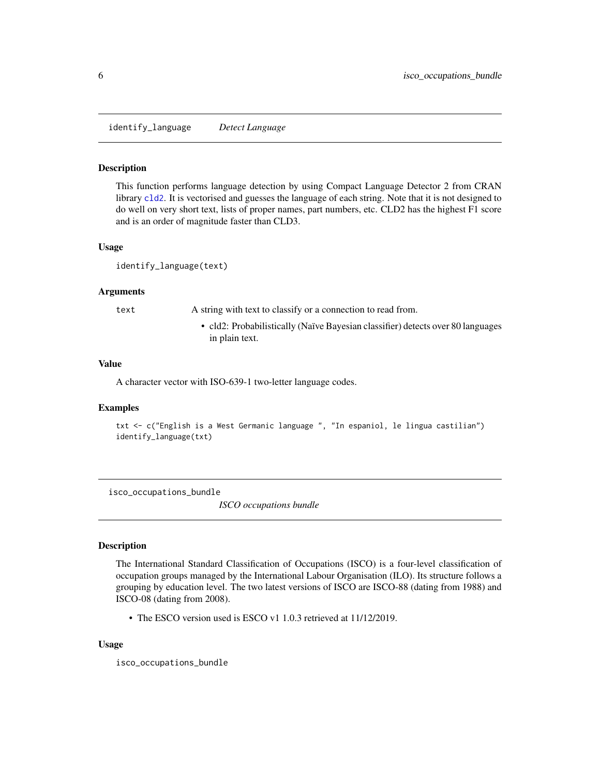<span id="page-5-0"></span>identify\_language *Detect Language*

#### **Description**

This function performs language detection by using Compact Language Detector 2 from CRAN library [cld2](#page-0-0). It is vectorised and guesses the language of each string. Note that it is not designed to do well on very short text, lists of proper names, part numbers, etc. CLD2 has the highest F1 score and is an order of magnitude faster than CLD3.

#### Usage

identify\_language(text)

#### Arguments

text A string with text to classify or a connection to read from.

• cld2: Probabilistically (Naïve Bayesian classifier) detects over 80 languages in plain text.

#### Value

A character vector with ISO-639-1 two-letter language codes.

#### Examples

```
txt <- c("English is a West Germanic language ", "In espaniol, le lingua castilian")
identify_language(txt)
```
<span id="page-5-1"></span>isco\_occupations\_bundle

*ISCO occupations bundle*

#### Description

The International Standard Classification of Occupations (ISCO) is a four-level classification of occupation groups managed by the International Labour Organisation (ILO). Its structure follows a grouping by education level. The two latest versions of ISCO are ISCO-88 (dating from 1988) and ISCO-08 (dating from 2008).

• The ESCO version used is ESCO v1 1.0.3 retrieved at 11/12/2019.

#### Usage

isco\_occupations\_bundle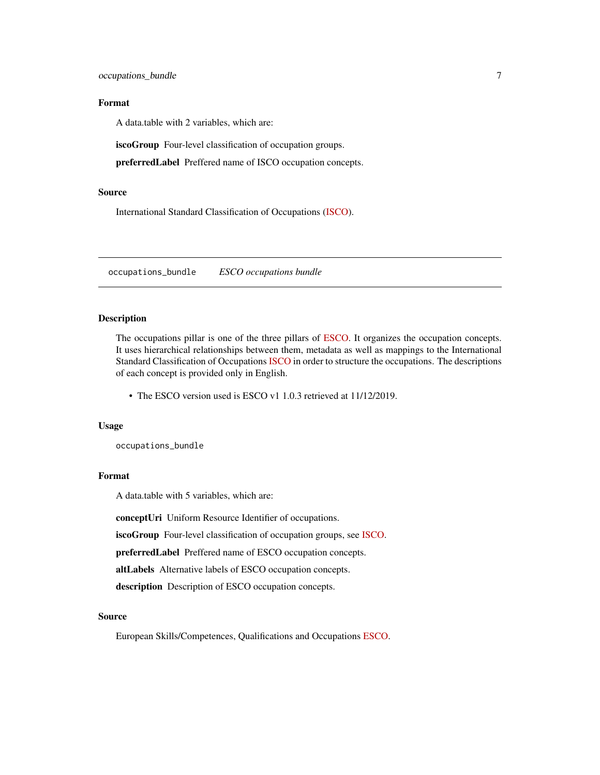#### <span id="page-6-0"></span>Format

A data.table with 2 variables, which are:

iscoGroup Four-level classification of occupation groups.

preferredLabel Preffered name of ISCO occupation concepts.

#### Source

International Standard Classification of Occupations [\(ISCO\)](https://ec.europa.eu/esco/portal/escopedia/International_Standard_Classification_of_Occupations__40_ISCO_41_).

<span id="page-6-1"></span>occupations\_bundle *ESCO occupations bundle*

#### Description

The occupations pillar is one of the three pillars of [ESCO.](https://ec.europa.eu/esco/portal/home) It organizes the occupation concepts. It uses hierarchical relationships between them, metadata as well as mappings to the International Standard Classification of Occupations [ISCO](https://ec.europa.eu/esco/portal/escopedia/Occupation) in order to structure the occupations. The descriptions of each concept is provided only in English.

• The ESCO version used is ESCO v1 1.0.3 retrieved at 11/12/2019.

#### Usage

occupations\_bundle

#### Format

A data.table with 5 variables, which are:

conceptUri Uniform Resource Identifier of occupations.

iscoGroup Four-level classification of occupation groups, see [ISCO.](https://ec.europa.eu/esco/portal/escopedia/International_Standard_Classification_of_Occupations__40_ISCO_41_)

preferredLabel Preffered name of ESCO occupation concepts.

altLabels Alternative labels of ESCO occupation concepts.

description Description of ESCO occupation concepts.

#### Source

European Skills/Competences, Qualifications and Occupations [ESCO.](https://ec.europa.eu/esco/portal/home)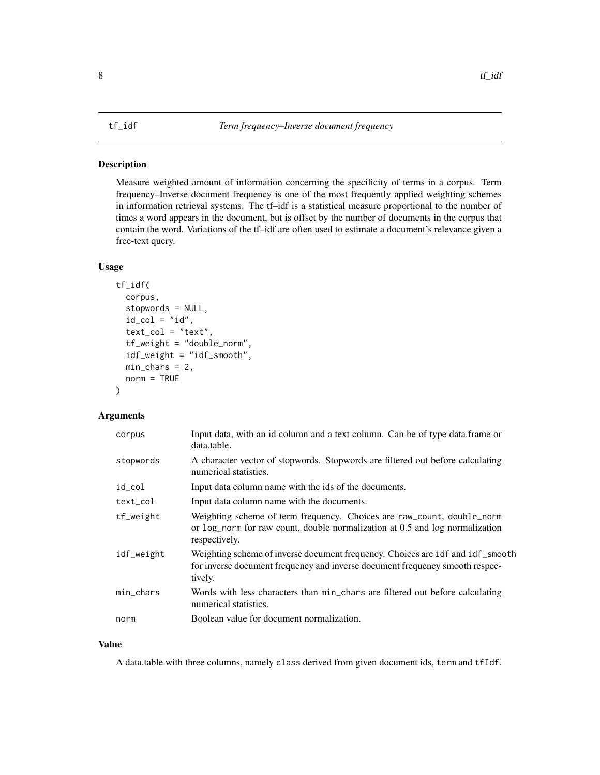#### <span id="page-7-1"></span><span id="page-7-0"></span>Description

Measure weighted amount of information concerning the specificity of terms in a corpus. Term frequency–Inverse document frequency is one of the most frequently applied weighting schemes in information retrieval systems. The tf–idf is a statistical measure proportional to the number of times a word appears in the document, but is offset by the number of documents in the corpus that contain the word. Variations of the tf–idf are often used to estimate a document's relevance given a free-text query.

#### Usage

```
tf_idf(
  corpus,
  stopwords = NULL,
  id\_col = "id",text_col = "text",tf_weight = "double_norm",
  idf_weight = "idf_smooth",
  min_{max} = 2,
  norm = TRUE
)
```
#### Arguments

| corpus          | Input data, with an id column and a text column. Can be of type data.frame or<br>data.table.                                                                              |
|-----------------|---------------------------------------------------------------------------------------------------------------------------------------------------------------------------|
| stopwords       | A character vector of stopwords. Stopwords are filtered out before calculating<br>numerical statistics.                                                                   |
| id_col          | Input data column name with the ids of the documents.                                                                                                                     |
| text_col        | Input data column name with the documents.                                                                                                                                |
| tf_weight       | Weighting scheme of term frequency. Choices are raw_count, double_norm<br>or log_norm for raw count, double normalization at 0.5 and log normalization<br>respectively.   |
| idf_weight      | Weighting scheme of inverse document frequency. Choices are idf and idf_smooth<br>for inverse document frequency and inverse document frequency smooth respec-<br>tively. |
| $min_{1 chars}$ | Words with less characters than min_chars are filtered out before calculating<br>numerical statistics.                                                                    |
| norm            | Boolean value for document normalization.                                                                                                                                 |

#### Value

A data.table with three columns, namely class derived from given document ids, term and tfIdf.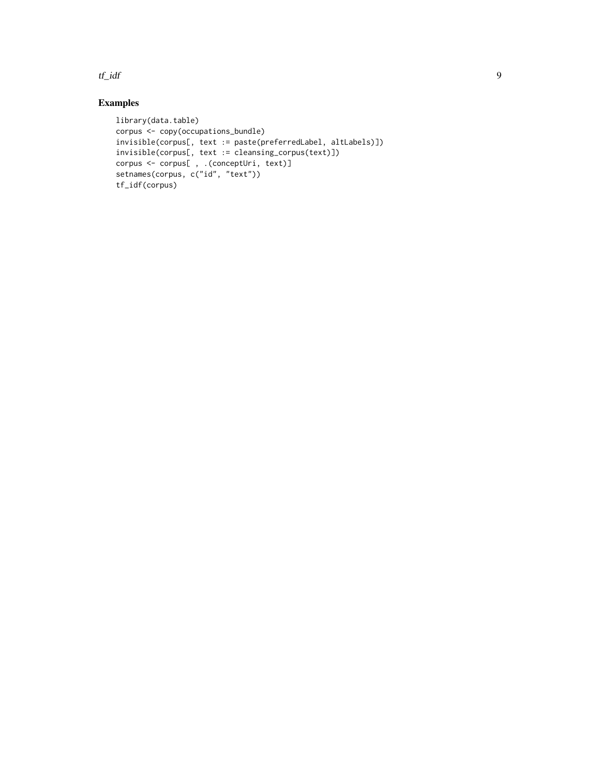$t_f$  idf  $\qquad \qquad$  9

### Examples

```
library(data.table)
corpus <- copy(occupations_bundle)
invisible(corpus[, text := paste(preferredLabel, altLabels)])
invisible(corpus[, text := cleansing_corpus(text)])
corpus <- corpus[ , .(conceptUri, text)]
setnames(corpus, c("id", "text"))
tf_idf(corpus)
```